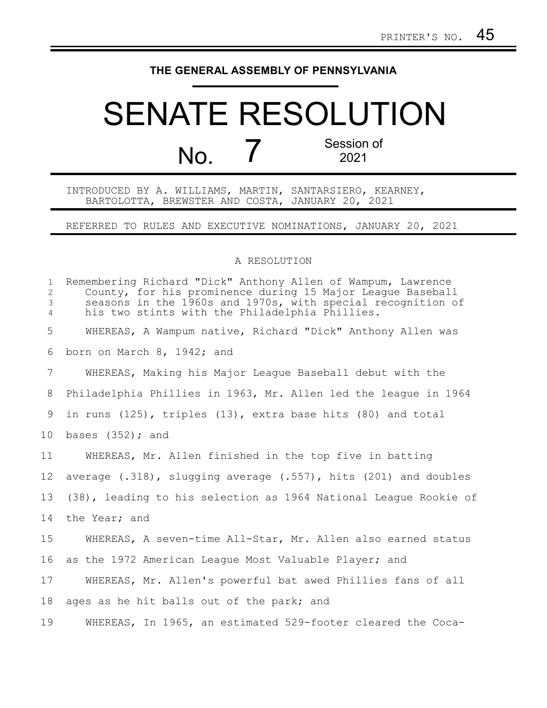## **THE GENERAL ASSEMBLY OF PENNSYLVANIA**

## SENATE RESOLUTION No. 7 Session of 2021

INTRODUCED BY A. WILLIAMS, MARTIN, SANTARSIERO, KEARNEY, BARTOLOTTA, BREWSTER AND COSTA, JANUARY 20, 2021

REFERRED TO RULES AND EXECUTIVE NOMINATIONS, JANUARY 20, 2021

## A RESOLUTION

| $\mathbf{1}$<br>$\mathbf{2}^{\prime}$<br>3<br>$\overline{4}$ | Remembering Richard "Dick" Anthony Allen of Wampum, Lawrence<br>County, for his prominence during 15 Major League Baseball<br>seasons in the 1960s and 1970s, with special recognition of<br>his two stints with the Philadelphia Phillies. |
|--------------------------------------------------------------|---------------------------------------------------------------------------------------------------------------------------------------------------------------------------------------------------------------------------------------------|
| 5                                                            | WHEREAS, A Wampum native, Richard "Dick" Anthony Allen was                                                                                                                                                                                  |
| 6                                                            | born on March 8, 1942; and                                                                                                                                                                                                                  |
| $7\overline{ }$                                              | WHEREAS, Making his Major League Baseball debut with the                                                                                                                                                                                    |
| 8                                                            | Philadelphia Phillies in 1963, Mr. Allen led the league in 1964                                                                                                                                                                             |
| 9                                                            | in runs $(125)$ , triples $(13)$ , extra base hits $(80)$ and total                                                                                                                                                                         |
| 10 <sub>o</sub>                                              | bases $(352)$ ; and                                                                                                                                                                                                                         |
| 11                                                           | WHEREAS, Mr. Allen finished in the top five in batting                                                                                                                                                                                      |
| $12 \overline{ }$                                            | average $(.318)$ , slugging average $(.557)$ , hits $(201)$ and doubles                                                                                                                                                                     |
| 13                                                           | (38), leading to his selection as 1964 National League Rookie of                                                                                                                                                                            |
| 14                                                           | the Year; and                                                                                                                                                                                                                               |
| 15                                                           | WHEREAS, A seven-time All-Star, Mr. Allen also earned status                                                                                                                                                                                |
| 16                                                           | as the 1972 American League Most Valuable Player; and                                                                                                                                                                                       |
| 17                                                           | WHEREAS, Mr. Allen's powerful bat awed Phillies fans of all                                                                                                                                                                                 |
| 18                                                           | ages as he hit balls out of the park; and                                                                                                                                                                                                   |
| 19                                                           | WHEREAS, In 1965, an estimated 529-footer cleared the Coca-                                                                                                                                                                                 |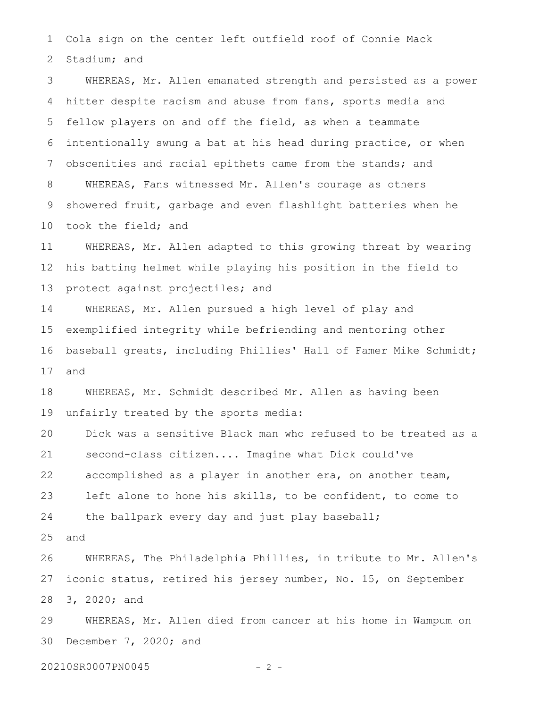Cola sign on the center left outfield roof of Connie Mack Stadium; and 1 2

WHEREAS, Mr. Allen emanated strength and persisted as a power hitter despite racism and abuse from fans, sports media and fellow players on and off the field, as when a teammate intentionally swung a bat at his head during practice, or when obscenities and racial epithets came from the stands; and WHEREAS, Fans witnessed Mr. Allen's courage as others showered fruit, garbage and even flashlight batteries when he took the field; and 3 4 5 6 7 8 9 10

WHEREAS, Mr. Allen adapted to this growing threat by wearing his batting helmet while playing his position in the field to protect against projectiles; and 11 12 13

WHEREAS, Mr. Allen pursued a high level of play and exemplified integrity while befriending and mentoring other baseball greats, including Phillies' Hall of Famer Mike Schmidt; and 14 15 16 17

WHEREAS, Mr. Schmidt described Mr. Allen as having been unfairly treated by the sports media: 18 19

Dick was a sensitive Black man who refused to be treated as a second-class citizen.... Imagine what Dick could've accomplished as a player in another era, on another team, left alone to hone his skills, to be confident, to come to the ballpark every day and just play baseball; 20 21 22 23 24

and 25

WHEREAS, The Philadelphia Phillies, in tribute to Mr. Allen's iconic status, retired his jersey number, No. 15, on September 3, 2020; and 26 27 28

WHEREAS, Mr. Allen died from cancer at his home in Wampum on December 7, 2020; and 29 30

20210SR0007PN0045 - 2 -